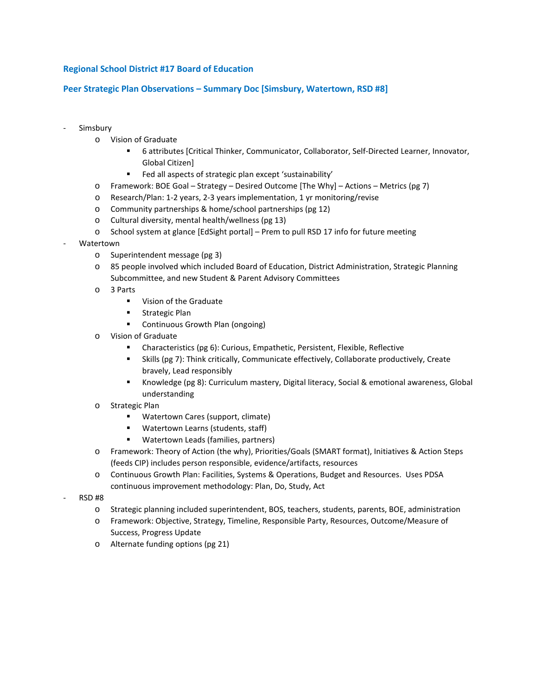# **Regional School District #17 Board of Education**

## **Peer Strategic Plan Observations – Summary Doc [Simsbury, Watertown, RSD #8]**

- **Simsbury** 
	- o Vision of Graduate
		- 6 attributes [Critical Thinker, Communicator, Collaborator, Self-Directed Learner, Innovator, Global Citizen]
		- Fed all aspects of strategic plan except 'sustainability'
	- o Framework: BOE Goal Strategy Desired Outcome [The Why] Actions Metrics (pg 7)
	- o Research/Plan: 1-2 years, 2-3 years implementation, 1 yr monitoring/revise
	- o Community partnerships & home/school partnerships (pg 12)
	- o Cultural diversity, mental health/wellness (pg 13)
	- o School system at glance [EdSight portal] Prem to pull RSD 17 info for future meeting
- **Watertown** 
	- o Superintendent message (pg 3)
	- o 85 people involved which included Board of Education, District Administration, Strategic Planning Subcommittee, and new Student & Parent Advisory Committees
	- o 3 Parts
		- **•** Vision of the Graduate
		- **EXECUTE:** Strategic Plan
		- Continuous Growth Plan (ongoing)
	- o Vision of Graduate
		- Characteristics (pg 6): Curious, Empathetic, Persistent, Flexible, Reflective
		- Skills (pg 7): Think critically, Communicate effectively, Collaborate productively, Create bravely, Lead responsibly
		- Knowledge (pg 8): Curriculum mastery, Digital literacy, Social & emotional awareness, Global understanding
	- o Strategic Plan
		- Watertown Cares (support, climate)
		- **Watertown Learns (students, staff)**
		- **Watertown Leads (families, partners)**
	- o Framework: Theory of Action (the why), Priorities/Goals (SMART format), Initiatives & Action Steps (feeds CIP) includes person responsible, evidence/artifacts, resources
	- o Continuous Growth Plan: Facilities, Systems & Operations, Budget and Resources. Uses PDSA continuous improvement methodology: Plan, Do, Study, Act
- RSD #8
	- o Strategic planning included superintendent, BOS, teachers, students, parents, BOE, administration
	- o Framework: Objective, Strategy, Timeline, Responsible Party, Resources, Outcome/Measure of Success, Progress Update
	- o Alternate funding options (pg 21)